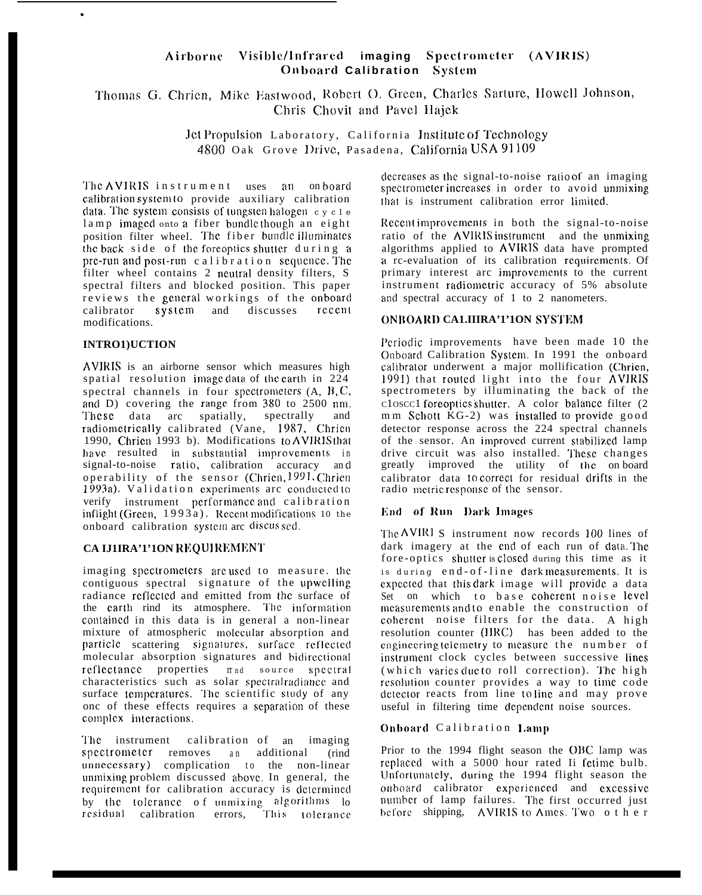#### Airborne Visible/Infrared imaging Spectrometer (AVIRIS) Onboard Calibration System

Thomas G. Chrien, Mike Eastwood, Robert O. Green, Charles Sarture, Howell Johnson, Chris Chovit and Pavel Hajek

> Jet Propulsion Laboratory, California Institute of Technology 4800 Oak Grove Drive, Pasadena, California USA 91109

The AVIRIS instrument uses an onboard calibration system to provide auxiliary calibration data. The system consists of tungsten halogen  $c$  y  $c$  l  $e$ lamp imaged onto a fiber bundle though an eight position filter wheel. The fiber bundle illuminates the back side of the foreoptics shutter during a pre-run and post-run calibration sequence. The filter wheel contains 2 neutral density filters, S spectral filters and blocked position. This paper reviews the general workings of the onboard system and discusses recent calibrator modifications.

# **INTRO1)UCTION**

AVIRIS is an airborne sensor which measures high spatial resolution image data of the earth in 224 spectral channels in four spectrometers (A, B, C, and D) covering the range from 380 to 2500 nm. These data arc spatially, spectrally and radiometrically calibrated (Vane, 1987, Chrien 1990, Chrien 1993 b). Modifications to AVIRIS that have resulted in substantial improvements in<br>signal-to-noise ratio, calibration accuracy and operability of the sensor (Chrien, 1991, Chrien 1993a). Validation experiments are conducted to verify instrument performance and calibration inflight (Green, 1993a). Recent modifications 10 the onboard calibration system are discussed.

# CA IJ1IRA'1'1ON REQUIREMENT

imaging spectrometers are used to measure. the contiguous spectral signature of the upwelling radiance reflected and emitted from the surface of the earth rind its atmosphere. The information contained in this data is in general a non-linear mixture of atmospheric molecular absorption and particle scattering signatures, surface reflected molecular absorption signatures and bidirectional reflectance properties mnd source spectral characteristics such as solar spectralradiance and surface temperatures. The scientific study of any onc of these effects requires a separation of these complex interactions.

calibration of an The instrument imaging spectrometer removes an additional  $(rind$ unnecessary) complication to the non-linear unmixing problem discussed above. In general, the requirement for calibration accuracy is determined by the tolerance of unmixing algorithms lo residual calibration errors, This tolerance decreases as the signal-to-noise ratio of an imaging spectrometer increases in order to avoid unmixing that is instrument calibration error limited.

Recent improvements in both the signal-to-noise ratio of the AVIRIS instrument and the unmixing algorithms applied to AVIRIS data have prompted a rc-evaluation of its calibration requirements. Of primary interest arc improvements to the current instrument radiometric accuracy of 5% absolute and spectral accuracy of 1 to 2 nanometers.

# **ONBOARD CALIHRA'1'1ON SYSTEM**

Periodic improvements have been made 10 the Onboard Calibration System. In 1991 the onboard calibrator underwent a major mollification (Chrien, 1991) that routed light into the four AVIRIS spectrometers by illuminating the back of the closcel foreoptics shutter. A color balance filter (2 mm Schott KG-2) was installed to provide good detector response across the 224 spectral channels of the sensor. An improved current stabilized lamp drive circuit was also installed. These changes greatly improved the utility of the onboard calibrator data to correct for residual drifts in the radio metric response of the sensor.

# End of Run Dark Images

The AVIRI S instrument now records 100 lines of dark imagery at the end of each run of data. The fore-optics shutter is closed during this time as it is during end-of-line dark measurements. It is expected that this dark image will provide a data Set on which to base coherent noise level measurements and to enable the construction of coherent noise filters for the data. A high resolution counter (IIRC) has been added to the engineering telemetry to measure the number of instrument clock cycles between successive lines (which varies due to roll correction). The high resolution counter provides a way to time code detector reacts from line toline and may prove useful in filtering time dependent noise sources.

## Onboard Calibration Lamp

Prior to the 1994 flight season the OBC lamp was replaced with a 5000 hour rated Ii fetime bulb. Unfortunately, during the 1994 flight season the onboard calibrator experienced and excessive number of lamp failures. The first occurred just before shipping, AVIRIS to Ames. Two other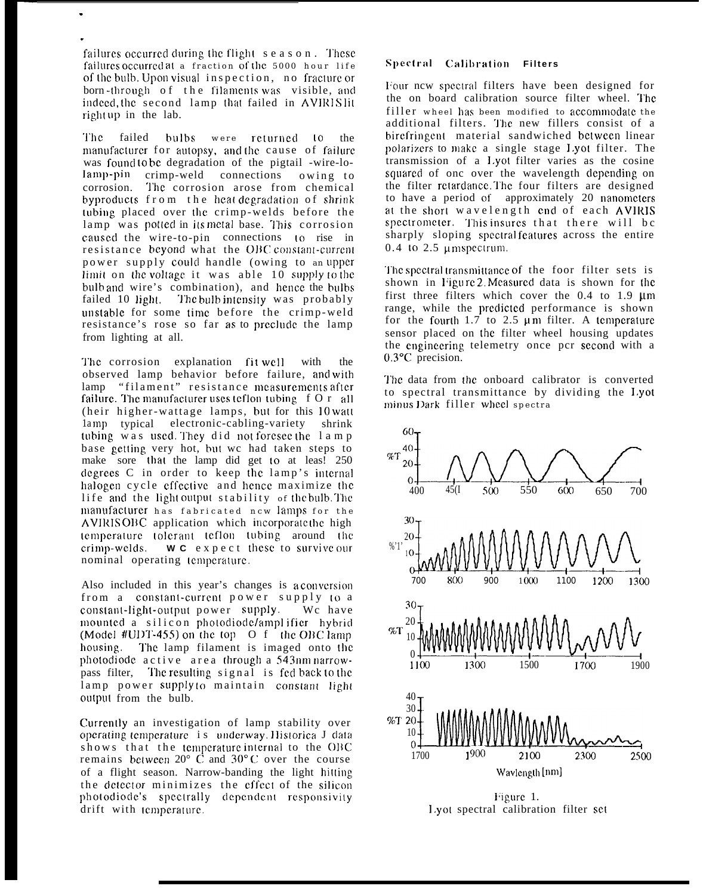failures occurred during the flight season. These failures occurred at a fraction of the 5000 hour life of the bulb. Upon visual inspection, no fracture or born-through of the filaments was visible, and indeed, the second lamp that failed in AVIRIS lit rightup in the lab.

The failed bulbs were returned to the manufacturer for autopsy, and the cause of failure was found to be degradation of the pigtail -wire-lolamp-pin crimp-weld connections owing to corrosion. The corrosion arose from chemical byproducts from the heat degradation of shrink tubing placed over the crimp-welds before the lamp was potted in its metal base. This corrosion caused the wire-to-pin connections to rise in resistance beyond what the OBC constant-current power supply could handle (owing to an upper limit on the voltage it was able 10 supply to the bulb and wire's combination), and hence the bulbs failed 10 light. The bulb intensity was probably unstable for some time before the crimp-weld resistance's rose so far as to preclude the lamp from lighting at all.

The corrosion explanation fit well with the observed lamp behavior before failure, and with lamp "filament" resistance measurements after failure. The manufacturer uses teflon tubing f O r all (heir higher-wattage lamps, but for this 10 watt lamp typical electronic-cabling-variety shrink<br>tubing was used. They did not foresee the lamp base getting very hot, but we had taken steps to make sore that the lamp did get to at leas! 250 degrees C in order to keep the lamp's internal halogen cycle effective and hence maximize the life and the light output stability of the bulb. The manufacturer has fabricated new lamps for the AVIRISOBC application which incorporate the high temperature tolerant teflon tubing around the crimp-welds. WC expect these to survive our nominal operating temperature.

Also included in this year's changes is a conversion from a constant-current power supply to a constant-light-output power supply. Wc have mounted a silicon photodiode/amplifier hybrid (Model #UDT-455) on the top  $\sigma$  f the OBC lamp housing. The lamp filament is imaged onto the photodiode active area through a 543nm narrowpass filter, The resulting signal is fed back to the lamp power supply to maintain constant light output from the bulb.

Currently an investigation of lamp stability over operating temperature is underway. Historica J data shows that the temperature internal to the OBC remains between  $20^{\circ}$  C and  $30^{\circ}$ C over the course of a flight season. Narrow-banding the light hitting the detector minimizes the effect of the silicon photodiode's spectrally dependent responsivity drift with temperature.

## Spectral Calibration Filters

Four new spectral filters have been designed for the on board calibration source filter wheel. The filler wheel has been modified to accommodate the additional filters. The new fillers consist of a birefringent material sandwiched between linear polarizers to make a single stage Lyot filter. The transmission of a Lyot filter varies as the cosine squared of one over the wavelength depending on the filter retardance. The four filters are designed to have a period of approximately 20 nanometers at the short wavelength end of each AVIRIS spectrometer. This insures that there will be sharply sloping spectral features across the entire  $0.4$  to  $2.5$  umspectrum.

The spectral transmittance of the foor filter sets is shown in Figure 2 Measured data is shown for the first three filters which cover the  $0.4$  to 1.9  $\mu$ m range, while the predicted performance is shown for the fourth  $1.7$  to  $2.5 \mu m$  filter. A temperature sensor placed on the filter wheel housing updates the engineering telemetry once pcr second with a  $0.3$ <sup>o</sup>C precision.

The data from the onboard calibrator is converted to spectral transmittance by dividing the Lyot minus Dark filler wheel spectra



Figure 1. Lyot spectral calibration filter set